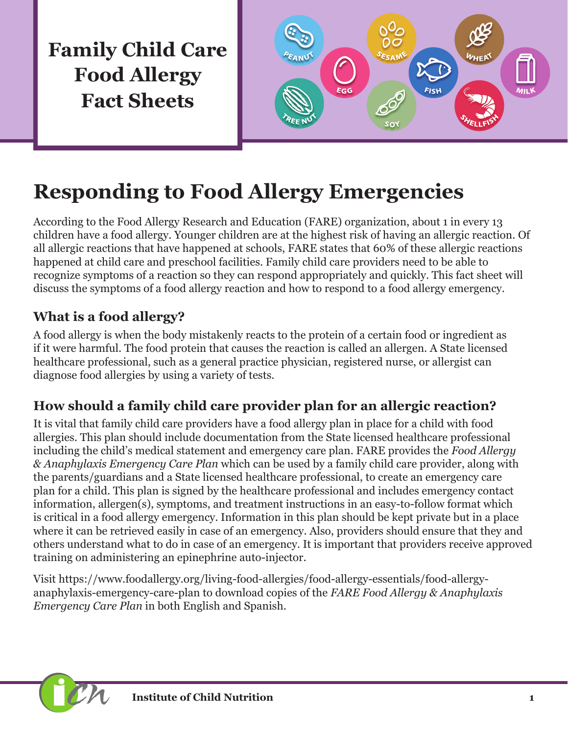**Family Child Care Food Allergy Fact Sheets**



# **Responding to Food Allergy Emergencies**

According to the Food Allergy Research and Education (FARE) organization, about 1 in every 13 children have a food allergy. Younger children are at the highest risk of having an allergic reaction. Of all allergic reactions that have happened at schools, FARE states that 60% of these allergic reactions happened at child care and preschool facilities. Family child care providers need to be able to recognize symptoms of a reaction so they can respond appropriately and quickly. This fact sheet will discuss the symptoms of a food allergy reaction and how to respond to a food allergy emergency.

## **What is a food allergy?**

A food allergy is when the body mistakenly reacts to the protein of a certain food or ingredient as if it were harmful. The food protein that causes the reaction is called an allergen. A State licensed healthcare professional, such as a general practice physician, registered nurse, or allergist can diagnose food allergies by using a variety of tests.

# **How should a family child care provider plan for an allergic reaction?**

It is vital that family child care providers have a food allergy plan in place for a child with food allergies. This plan should include documentation from the State licensed healthcare professional including the child's medical statement and emergency care plan. FARE provides the *Food Allergy & Anaphylaxis Emergency Care Plan* which can be used by a family child care provider, along with the parents/guardians and a State licensed healthcare professional, to create an emergency care plan for a child. This plan is signed by the healthcare professional and includes emergency contact information, allergen(s), symptoms, and treatment instructions in an easy-to-follow format which is critical in a food allergy emergency. Information in this plan should be kept private but in a place where it can be retrieved easily in case of an emergency. Also, providers should ensure that they and others understand what to do in case of an emergency. It is important that providers receive approved training on administering an epinephrine auto-injector.

Visit [https://www.foodallergy.org/living-food-allergies/food-allergy-essentials/food-allergy](https://www.foodallergy.org/living-food-allergies/food-allergy-essentials/food-allergy-anaphylaxis-emergency-care-plan)[anaphylaxis-emergency-care-plan](https://www.foodallergy.org/living-food-allergies/food-allergy-essentials/food-allergy-anaphylaxis-emergency-care-plan) to download copies of the *FARE Food Allergy & Anaphylaxis Emergency Care Plan* in both English and Spanish.

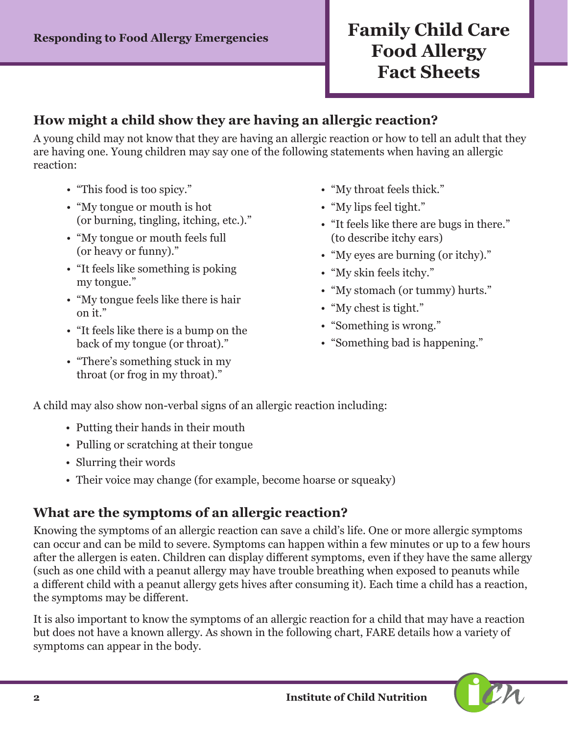# **Responding to Food Allergy Emergencies Family Child Care Food Allergy Fact Sheets**

#### **How might a child show they are having an allergic reaction?**

A young child may not know that they are having an allergic reaction or how to tell an adult that they are having one. Young children may say one of the following statements when having an allergic reaction:

- "This food is too spicy."
- "My tongue or mouth is hot (or burning, tingling, itching, etc.)."
- "My tongue or mouth feels full (or heavy or funny)."
- "It feels like something is poking my tongue."
- "My tongue feels like there is hair on it."
- "It feels like there is a bump on the back of my tongue (or throat)."
- "There's something stuck in my throat (or frog in my throat)."
- "My throat feels thick."
- "My lips feel tight."
- "It feels like there are bugs in there." (to describe itchy ears)
- "My eyes are burning (or itchy)."
- "My skin feels itchy."
- "My stomach (or tummy) hurts."
- "My chest is tight."
- "Something is wrong."
- "Something bad is happening."

A child may also show non-verbal signs of an allergic reaction including:

- Putting their hands in their mouth
- Pulling or scratching at their tongue
- Slurring their words
- Their voice may change (for example, become hoarse or squeaky)

### **What are the symptoms of an allergic reaction?**

Knowing the symptoms of an allergic reaction can save a child's life. One or more allergic symptoms can occur and can be mild to severe. Symptoms can happen within a few minutes or up to a few hours after the allergen is eaten. Children can display different symptoms, even if they have the same allergy (such as one child with a peanut allergy may have trouble breathing when exposed to peanuts while a different child with a peanut allergy gets hives after consuming it). Each time a child has a reaction, the symptoms may be different.

It is also important to know the symptoms of an allergic reaction for a child that may have a reaction but does not have a known allergy. As shown in the following chart, FARE details how a variety of symptoms can appear in the body.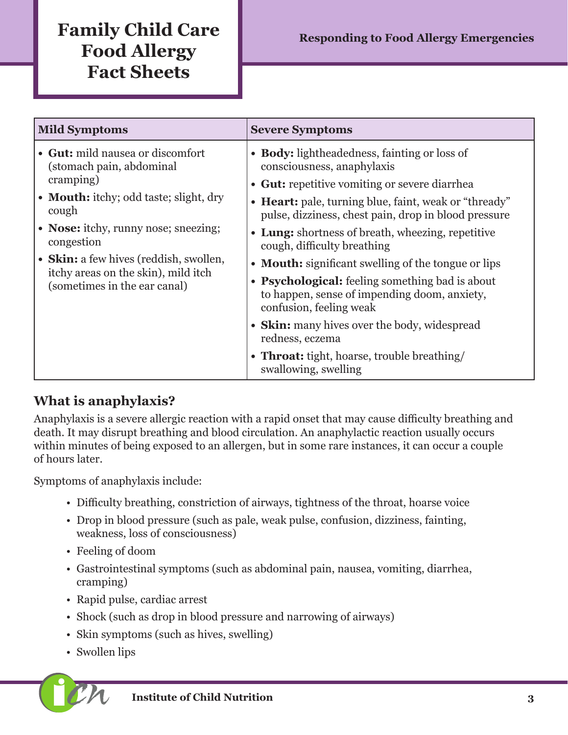# **Family Child Care Food Allergy Fact Sheets**

| <b>Mild Symptoms</b>                                                                                          | <b>Severe Symptoms</b>                                                                                                     |
|---------------------------------------------------------------------------------------------------------------|----------------------------------------------------------------------------------------------------------------------------|
| • Gut: mild nausea or discomfort<br>(stomach pain, abdominal<br>cramping)                                     | • Body: lightheadedness, fainting or loss of<br>consciousness, anaphylaxis                                                 |
|                                                                                                               | • Gut: repetitive vomiting or severe diarrhea                                                                              |
| • Mouth: itchy; odd taste; slight, dry<br>cough                                                               | • Heart: pale, turning blue, faint, weak or "thready"<br>pulse, dizziness, chest pain, drop in blood pressure              |
| • Nose: itchy, runny nose; sneezing;<br>congestion                                                            | • Lung: shortness of breath, wheezing, repetitive<br>cough, difficulty breathing                                           |
| • Skin: a few hives (reddish, swollen,<br>itchy areas on the skin), mild itch<br>(sometimes in the ear canal) | • Mouth: significant swelling of the tongue or lips                                                                        |
|                                                                                                               | • Psychological: feeling something bad is about<br>to happen, sense of impending doom, anxiety,<br>confusion, feeling weak |
|                                                                                                               | • Skin: many hives over the body, widespread<br>redness, eczema                                                            |
|                                                                                                               | • Throat: tight, hoarse, trouble breathing/<br>swallowing, swelling                                                        |

### **What is anaphylaxis?**

Anaphylaxis is a severe allergic reaction with a rapid onset that may cause difficulty breathing and death. It may disrupt breathing and blood circulation. An anaphylactic reaction usually occurs within minutes of being exposed to an allergen, but in some rare instances, it can occur a couple of hours later.

Symptoms of anaphylaxis include:

- Difficulty breathing, constriction of airways, tightness of the throat, hoarse voice
- Drop in blood pressure (such as pale, weak pulse, confusion, dizziness, fainting, weakness, loss of consciousness)
- Feeling of doom
- Gastrointestinal symptoms (such as abdominal pain, nausea, vomiting, diarrhea, cramping)
- Rapid pulse, cardiac arrest
- Shock (such as drop in blood pressure and narrowing of airways)
- Skin symptoms (such as hives, swelling)
- Swollen lips

**i Institute of Child Nutrition 3**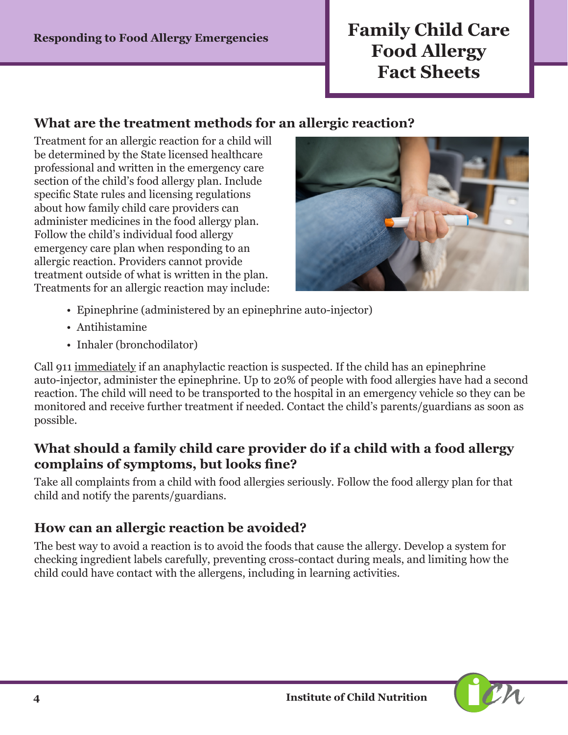# **Responding to Food Allergy Emergencies Family Child Care Food Allergy Fact Sheets**

#### **What are the treatment methods for an allergic reaction?**

Treatment for an allergic reaction for a child will be determined by the State licensed healthcare professional and written in the emergency care section of the child's food allergy plan. Include specific State rules and licensing regulations about how family child care providers can administer medicines in the food allergy plan. Follow the child's individual food allergy emergency care plan when responding to an allergic reaction. Providers cannot provide treatment outside of what is written in the plan. Treatments for an allergic reaction may include:



- Epinephrine (administered by an epinephrine auto-injector)
- Antihistamine
- Inhaler (bronchodilator)

Call 911 immediately if an anaphylactic reaction is suspected. If the child has an epinephrine auto-injector, administer the epinephrine. Up to 20% of people with food allergies have had a second reaction. The child will need to be transported to the hospital in an emergency vehicle so they can be monitored and receive further treatment if needed. Contact the child's parents/guardians as soon as possible.

#### **What should a family child care provider do if a child with a food allergy complains of symptoms, but looks fine?**

Take all complaints from a child with food allergies seriously. Follow the food allergy plan for that child and notify the parents/guardians.

### **How can an allergic reaction be avoided?**

The best way to avoid a reaction is to avoid the foods that cause the allergy. Develop a system for checking ingredient labels carefully, preventing cross-contact during meals, and limiting how the child could have contact with the allergens, including in learning activities.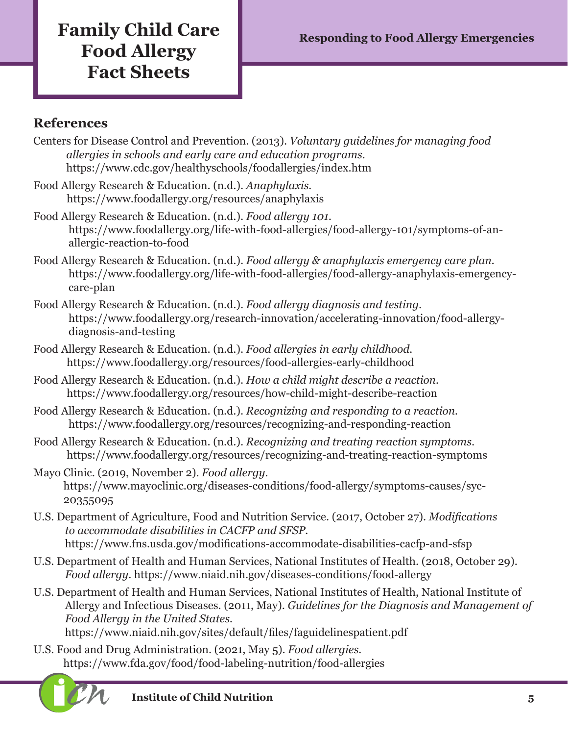# **Family Child Care** Responding to Food Allergy Emergencies **Food Allergy Fact Sheets**

### **References**

- Centers for Disease Control and Prevention. (2013). *Voluntary guidelines for managing food allergies in schools and early care and education programs.*  <https://www.cdc.gov/healthyschools/foodallergies/index.htm>
- Food Allergy Research & Education. (n.d.). *Anaphylaxis.*  <https://www.foodallergy.org/resources/anaphylaxis>
- Food Allergy Research & Education. (n.d.). *Food allergy 101.* [https://www.foodallergy.org/life-with-food-allergies/food-allergy-101/symptoms-of-an](https://www.foodallergy.org/life-with-food-allergies/food-allergy-101/symptoms-of-an-allergic-reacti)[allergic-reaction-to-food](https://www.foodallergy.org/life-with-food-allergies/food-allergy-101/symptoms-of-an-allergic-reacti)
- Food Allergy Research & Education. (n.d.). *Food allergy & anaphylaxis emergency care plan.*  [https://www.foodallergy.org/life-with-food-allergies/food-allergy-anaphylaxis-emergency]( https://www.foodallergy.org/life-with-food-allergies/food-allergy-anaphylaxis-emergency-care-plan)[care-plan]( https://www.foodallergy.org/life-with-food-allergies/food-allergy-anaphylaxis-emergency-care-plan)
- Food Allergy Research & Education. (n.d.). *Food allergy diagnosis and testing.*  [https://www.foodallergy.org/research-innovation/accelerating-innovation/food-allergy](https://www.foodallergy.org/research-innovation/accelerating-innovation/food-allergy-diagnosis-and-testing)[diagnosis-and-testing](https://www.foodallergy.org/research-innovation/accelerating-innovation/food-allergy-diagnosis-and-testing)
- Food Allergy Research & Education. (n.d.). *Food allergies in early childhood.* <https://www.foodallergy.org/resources/food-allergies-early-childhood>
- Food Allergy Research & Education. (n.d.). *How a child might describe a reaction.*  <https://www.foodallergy.org/resources/how-child-might-describe-reaction>
- Food Allergy Research & Education. (n.d.). *Recognizing and responding to a reaction.*  <https://www.foodallergy.org/resources/recognizing-and-responding-reaction>
- Food Allergy Research & Education. (n.d.). *Recognizing and treating reaction symptoms.* <https://www.foodallergy.org/resources/recognizing-and-treating-reaction-symptoms>
- Mayo Clinic. (2019, November 2). *Food allergy.*  [https://www.mayoclinic.org/diseases-conditions/food-allergy/symptoms-causes/syc-](https://www.mayoclinic.org/diseases-conditions/food-allergy/symptoms-causes/syc-20355095)[20355095](https://www.mayoclinic.org/diseases-conditions/food-allergy/symptoms-causes/syc-20355095)
- U.S. Department of Agriculture, Food and Nutrition Service. (2017, October 27). *Modifications to accommodate disabilities in CACFP and SFSP.*  <https://www.fns.usda.gov/modifications-accommodate-disabilities-cacfp-and-sfsp>
- U.S. Department of Health and Human Services, National Institutes of Health. (2018, October 29). *Food allergy.* <https://www.niaid.nih.gov/diseases-conditions/food-allergy>
- U.S. Department of Health and Human Services, National Institutes of Health, National Institute of Allergy and Infectious Diseases. (2011, May). *Guidelines for the Diagnosis and Management of Food Allergy in the United States.*

<https://www.niaid.nih.gov/sites/default/files/faguidelinespatient.pdf>

U.S. Food and Drug Administration. (2021, May 5). *Food allergies.*  <https://www.fda.gov/food/food-labeling-nutrition/food-allergies>